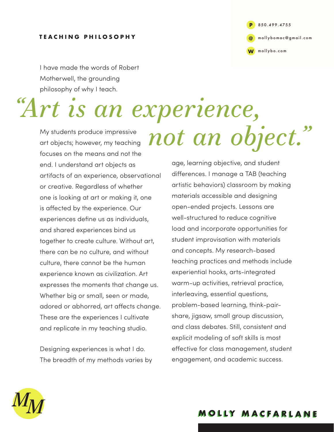## **TEACHING PHILOSOPHY**

**P @ W** [mollybo.com](http://mollybo.com) 850.499.4755 [mollybomac@gmail.com](mailto:mollybomac@gmail.com)

I have made the words of Robert Motherwell, the grounding philosophy of why I teach.

## *"Art is an experience,*

My students produce impressive art objects; however, my teaching focuses on the means and not the end. I understand art objects as artifacts of an experience, observational or creative. Regardless of whether one is looking at art or making it, one is affected by the experience. Our experiences define us as individuals, and shared experiences bind us together to create culture. Without art, there can be no culture, and without culture, there cannot be the human experience known as civilization. Art expresses the moments that change us. Whether big or small, seen or made, adored or abhorred, art affects change. These are the experiences I cultivate and replicate in my teaching studio.

Designing experiences is what I do. The breadth of my methods varies by

*not an object."*

age, learning objective, and student differences. I manage a TAB (teaching artistic behaviors) classroom by making materials accessible and designing open-ended projects. Lessons are well-structured to reduce cognitive load and incorporate opportunities for student improvisation with materials and concepts. My research-based teaching practices and methods include experiential hooks, arts-integrated warm-up activities, retrieval practice, interleaving, essential questions, problem-based learning, think-pairshare, jigsaw, small group discussion, and class debates. Still, consistent and explicit modeling of soft skills is most effective for class management, student engagement, and academic success.



**MOLLY MACFARLANE MOLLY MACFARLANE**